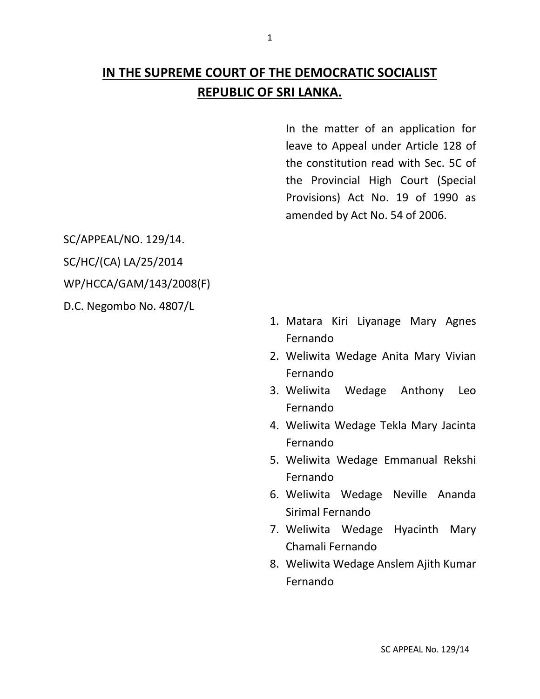# **IN THE SUPREME COURT OF THE DEMOCRATIC SOCIALIST REPUBLIC OF SRI LANKA.**

In the matter of an application for leave to Appeal under Article 128 of the constitution read with Sec. 5C of the Provincial High Court (Special Provisions) Act No. 19 of 1990 as amended by Act No. 54 of 2006.

SC/APPEAL/NO. 129/14. SC/HC/(CA) LA/25/2014 WP/HCCA/GAM/143/2008(F) D.C. Negombo No. 4807/L

- 1. Matara Kiri Liyanage Mary Agnes Fernando
- 2. Weliwita Wedage Anita Mary Vivian Fernando
- 3. Weliwita Wedage Anthony Leo Fernando
- 4. Weliwita Wedage Tekla Mary Jacinta Fernando
- 5. Weliwita Wedage Emmanual Rekshi Fernando
- 6. Weliwita Wedage Neville Ananda Sirimal Fernando
- 7. Weliwita Wedage Hyacinth Mary Chamali Fernando
- 8. Weliwita Wedage Anslem Ajith Kumar Fernando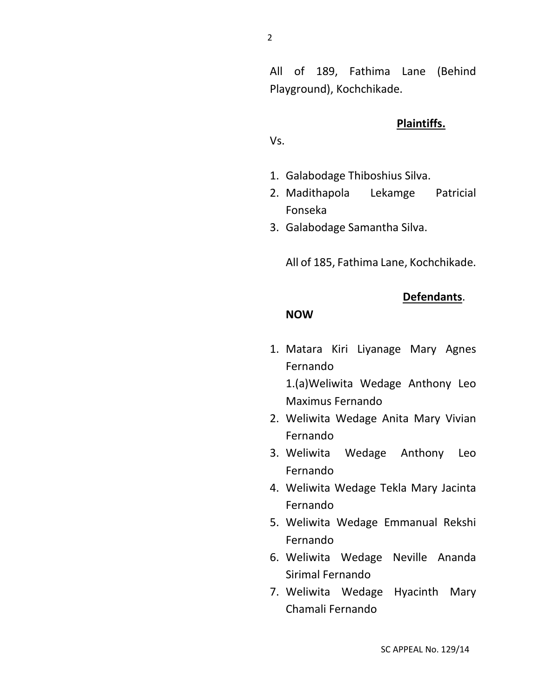All of 189, Fathima Lane (Behind Playground), Kochchikade.

#### **Plaintiffs.**

**Defendants**.

Vs.

- 1. Galabodage Thiboshius Silva.
- 2. Madithapola Lekamge Patricial Fonseka
- 3. Galabodage Samantha Silva.

All of 185, Fathima Lane, Kochchikade.

**NOW**

1. Matara Kiri Liyanage Mary Agnes Fernando

1.(a)Weliwita Wedage Anthony Leo Maximus Fernando

- 2. Weliwita Wedage Anita Mary Vivian Fernando
- 3. Weliwita Wedage Anthony Leo Fernando
- 4. Weliwita Wedage Tekla Mary Jacinta Fernando
- 5. Weliwita Wedage Emmanual Rekshi Fernando
- 6. Weliwita Wedage Neville Ananda Sirimal Fernando
- 7. Weliwita Wedage Hyacinth Mary Chamali Fernando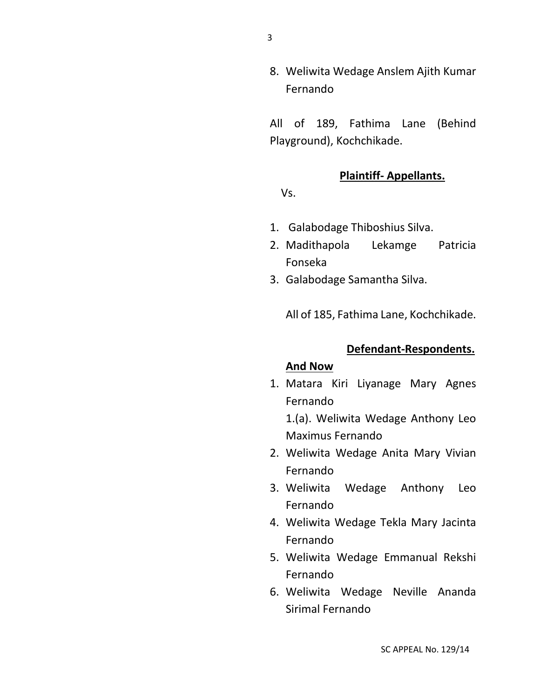8. Weliwita Wedage Anslem Ajith Kumar Fernando

All of 189, Fathima Lane (Behind Playground), Kochchikade.

# **Plaintiff- Appellants.**

Vs.

- 1. Galabodage Thiboshius Silva.
- 2. Madithapola Lekamge Patricia Fonseka
- 3. Galabodage Samantha Silva.

All of 185, Fathima Lane, Kochchikade.

#### **Defendant-Respondents.**

#### **And Now**

1. Matara Kiri Liyanage Mary Agnes Fernando

1.(a). Weliwita Wedage Anthony Leo Maximus Fernando

- 2. Weliwita Wedage Anita Mary Vivian Fernando
- 3. Weliwita Wedage Anthony Leo Fernando
- 4. Weliwita Wedage Tekla Mary Jacinta Fernando
- 5. Weliwita Wedage Emmanual Rekshi Fernando
- 6. Weliwita Wedage Neville Ananda Sirimal Fernando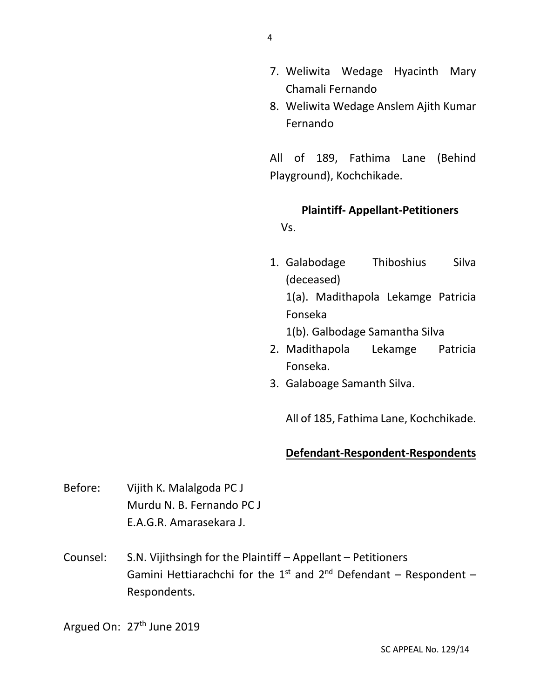- 7. Weliwita Wedage Hyacinth Mary Chamali Fernando
- 8. Weliwita Wedage Anslem Ajith Kumar Fernando

All of 189, Fathima Lane (Behind Playground), Kochchikade.

# **Plaintiff- Appellant-Petitioners**

Vs.

1. Galabodage Thiboshius Silva (deceased) 1(a). Madithapola Lekamge Patricia

Fonseka

1(b). Galbodage Samantha Silva

- 2. Madithapola Lekamge Patricia Fonseka.
- 3. Galaboage Samanth Silva.

All of 185, Fathima Lane, Kochchikade.

# **Defendant-Respondent-Respondents**

- Before: Vijith K. Malalgoda PC J Murdu N. B. Fernando PC J E.A.G.R. Amarasekara J.
- Counsel: S.N. Vijithsingh for the Plaintiff Appellant Petitioners Gamini Hettiarachchi for the 1<sup>st</sup> and 2<sup>nd</sup> Defendant – Respondent – Respondents.

Argued On: 27<sup>th</sup> June 2019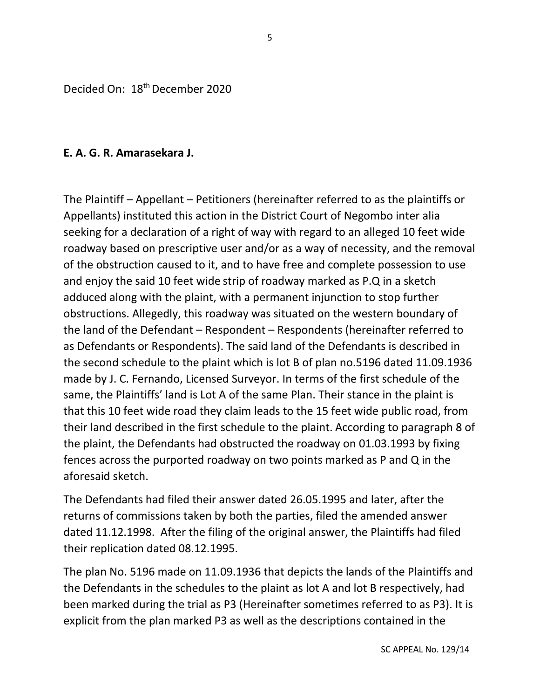Decided On: 18th December 2020

#### **E. A. G. R. Amarasekara J.**

The Plaintiff – Appellant – Petitioners (hereinafter referred to as the plaintiffs or Appellants) instituted this action in the District Court of Negombo inter alia seeking for a declaration of a right of way with regard to an alleged 10 feet wide roadway based on prescriptive user and/or as a way of necessity, and the removal of the obstruction caused to it, and to have free and complete possession to use and enjoy the said 10 feet wide strip of roadway marked as P.Q in a sketch adduced along with the plaint, with a permanent injunction to stop further obstructions. Allegedly, this roadway was situated on the western boundary of the land of the Defendant – Respondent – Respondents (hereinafter referred to as Defendants or Respondents). The said land of the Defendants is described in the second schedule to the plaint which is lot B of plan no.5196 dated 11.09.1936 made by J. C. Fernando, Licensed Surveyor. In terms of the first schedule of the same, the Plaintiffs' land is Lot A of the same Plan. Their stance in the plaint is that this 10 feet wide road they claim leads to the 15 feet wide public road, from their land described in the first schedule to the plaint. According to paragraph 8 of the plaint, the Defendants had obstructed the roadway on 01.03.1993 by fixing fences across the purported roadway on two points marked as P and Q in the aforesaid sketch.

The Defendants had filed their answer dated 26.05.1995 and later, after the returns of commissions taken by both the parties, filed the amended answer dated 11.12.1998. After the filing of the original answer, the Plaintiffs had filed their replication dated 08.12.1995.

The plan No. 5196 made on 11.09.1936 that depicts the lands of the Plaintiffs and the Defendants in the schedules to the plaint as lot A and lot B respectively, had been marked during the trial as P3 (Hereinafter sometimes referred to as P3). It is explicit from the plan marked P3 as well as the descriptions contained in the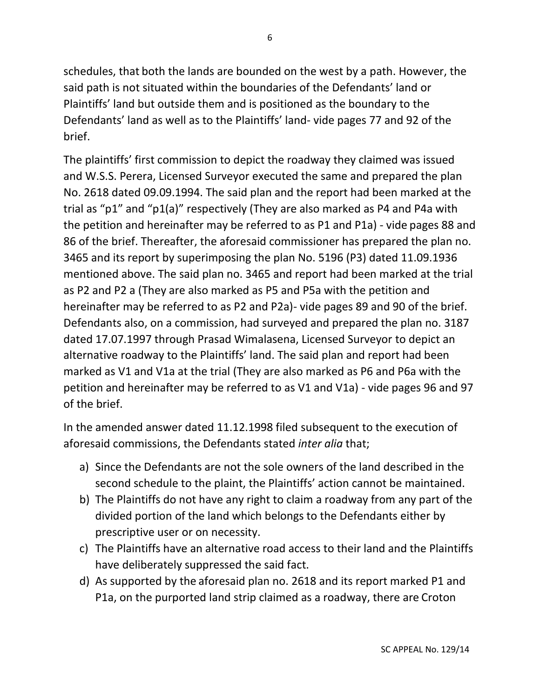schedules, that both the lands are bounded on the west by a path. However, the said path is not situated within the boundaries of the Defendants' land or Plaintiffs' land but outside them and is positioned as the boundary to the Defendants' land as well as to the Plaintiffs' land- vide pages 77 and 92 of the brief.

The plaintiffs' first commission to depict the roadway they claimed was issued and W.S.S. Perera, Licensed Surveyor executed the same and prepared the plan No. 2618 dated 09.09.1994. The said plan and the report had been marked at the trial as "p1" and "p1(a)" respectively (They are also marked as P4 and P4a with the petition and hereinafter may be referred to as P1 and P1a) - vide pages 88 and 86 of the brief. Thereafter, the aforesaid commissioner has prepared the plan no. 3465 and its report by superimposing the plan No. 5196 (P3) dated 11.09.1936 mentioned above. The said plan no. 3465 and report had been marked at the trial as P2 and P2 a (They are also marked as P5 and P5a with the petition and hereinafter may be referred to as P2 and P2a)- vide pages 89 and 90 of the brief. Defendants also, on a commission, had surveyed and prepared the plan no. 3187 dated 17.07.1997 through Prasad Wimalasena, Licensed Surveyor to depict an alternative roadway to the Plaintiffs' land. The said plan and report had been marked as V1 and V1a at the trial (They are also marked as P6 and P6a with the petition and hereinafter may be referred to as V1 and V1a) - vide pages 96 and 97 of the brief.

In the amended answer dated 11.12.1998 filed subsequent to the execution of aforesaid commissions, the Defendants stated *inter alia* that;

- a) Since the Defendants are not the sole owners of the land described in the second schedule to the plaint, the Plaintiffs' action cannot be maintained.
- b) The Plaintiffs do not have any right to claim a roadway from any part of the divided portion of the land which belongs to the Defendants either by prescriptive user or on necessity.
- c) The Plaintiffs have an alternative road access to their land and the Plaintiffs have deliberately suppressed the said fact.
- d) As supported by the aforesaid plan no. 2618 and its report marked P1 and P1a, on the purported land strip claimed as a roadway, there are Croton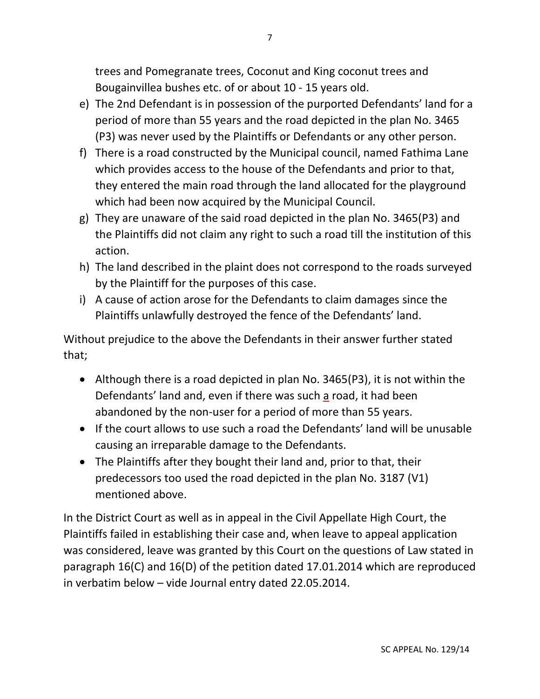trees and Pomegranate trees, Coconut and King coconut trees and Bougainvillea bushes etc. of or about 10 - 15 years old.

- e) The 2nd Defendant is in possession of the purported Defendants' land for a period of more than 55 years and the road depicted in the plan No. 3465 (P3) was never used by the Plaintiffs or Defendants or any other person.
- f) There is a road constructed by the Municipal council, named Fathima Lane which provides access to the house of the Defendants and prior to that, they entered the main road through the land allocated for the playground which had been now acquired by the Municipal Council.
- g) They are unaware of the said road depicted in the plan No. 3465(P3) and the Plaintiffs did not claim any right to such a road till the institution of this action.
- h) The land described in the plaint does not correspond to the roads surveyed by the Plaintiff for the purposes of this case.
- i) A cause of action arose for the Defendants to claim damages since the Plaintiffs unlawfully destroyed the fence of the Defendants' land.

Without prejudice to the above the Defendants in their answer further stated that;

- Although there is a road depicted in plan No. 3465(P3), it is not within the Defendants' land and, even if there was such a road, it had been abandoned by the non-user for a period of more than 55 years.
- If the court allows to use such a road the Defendants' land will be unusable causing an irreparable damage to the Defendants.
- The Plaintiffs after they bought their land and, prior to that, their predecessors too used the road depicted in the plan No. 3187 (V1) mentioned above.

In the District Court as well as in appeal in the Civil Appellate High Court, the Plaintiffs failed in establishing their case and, when leave to appeal application was considered, leave was granted by this Court on the questions of Law stated in paragraph 16(C) and 16(D) of the petition dated 17.01.2014 which are reproduced in verbatim below – vide Journal entry dated 22.05.2014.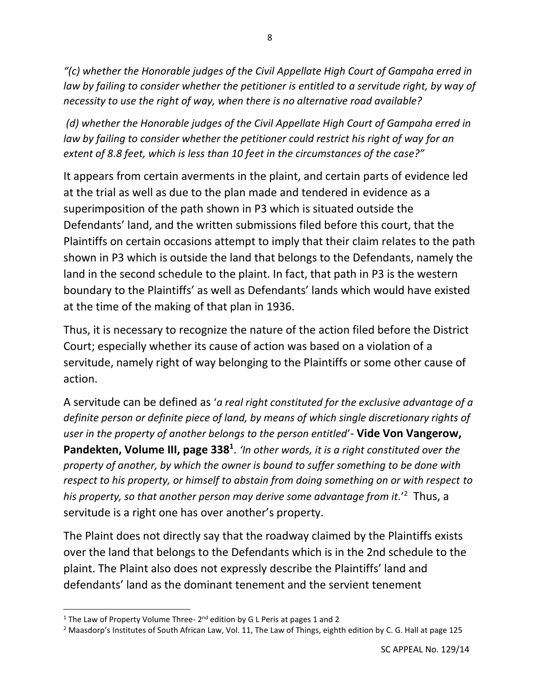*"(c) whether the Honorable judges of the Civil Appellate High Court of Gampaha erred in law by failing to consider whether the petitioner is entitled to a servitude right, by way of necessity to use the right of way, when there is no alternative road available?*

*(d) whether the Honorable judges of the Civil Appellate High Court of Gampaha erred in law by failing to consider whether the petitioner could restrict his right of way for an extent of 8.8 feet, which is less than 10 feet in the circumstances of the case?"*

It appears from certain averments in the plaint, and certain parts of evidence led at the trial as well as due to the plan made and tendered in evidence as a superimposition of the path shown in P3 which is situated outside the Defendants' land, and the written submissions filed before this court, that the Plaintiffs on certain occasions attempt to imply that their claim relates to the path shown in P3 which is outside the land that belongs to the Defendants, namely the land in the second schedule to the plaint. In fact, that path in P3 is the western boundary to the Plaintiffs' as well as Defendants' lands which would have existed at the time of the making of that plan in 1936.

Thus, it is necessary to recognize the nature of the action filed before the District Court; especially whether its cause of action was based on a violation of a servitude, namely right of way belonging to the Plaintiffs or some other cause of action.

A servitude can be defined as '*a real right constituted for the exclusive advantage of a definite person or definite piece of land, by means of which single discretionary rights of user in the property of another belongs to the person entitled*'- **Vide Von Vangerow,**  Pandekten, Volume III, page 338<sup>1</sup>. *'In other words, it is a right constituted over the property of another, by which the owner is bound to suffer something to be done with respect to his property, or himself to abstain from doing something on or with respect to his property, so that another person may derive some advantage from it.*' <sup>2</sup> Thus, a servitude is a right one has over another's property.

The Plaint does not directly say that the roadway claimed by the Plaintiffs exists over the land that belongs to the Defendants which is in the 2nd schedule to the plaint. The Plaint also does not expressly describe the Plaintiffs' land and defendants' land as the dominant tenement and the servient tenement

<sup>&</sup>lt;sup>1</sup> The Law of Property Volume Three- 2<sup>nd</sup> edition by G L Peris at pages 1 and 2

<sup>&</sup>lt;sup>2</sup> Maasdorp's Institutes of South African Law, Vol. 11, The Law of Things, eighth edition by C. G. Hall at page 125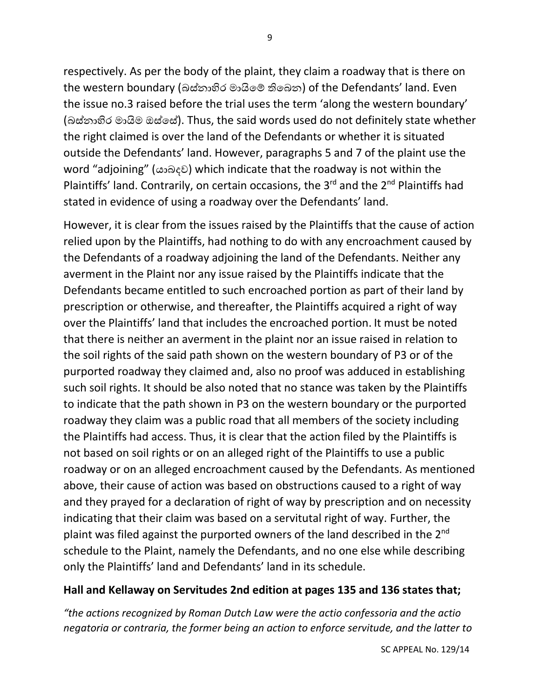respectively. As per the body of the plaint, they claim a roadway that is there on the western boundary (බස්නාහිර මායිමේ තිමබන) of the Defendants' land. Even the issue no.3 raised before the trial uses the term 'along the western boundary' (බස්නාහිර මායිම ඔස්මස්). Thus, the said words used do not definitely state whether the right claimed is over the land of the Defendants or whether it is situated outside the Defendants' land. However, paragraphs 5 and 7 of the plaint use the word "adjoining" (යාබදව) which indicate that the roadway is not within the Plaintiffs' land. Contrarily, on certain occasions, the  $3<sup>rd</sup>$  and the  $2<sup>nd</sup>$  Plaintiffs had stated in evidence of using a roadway over the Defendants' land.

However, it is clear from the issues raised by the Plaintiffs that the cause of action relied upon by the Plaintiffs, had nothing to do with any encroachment caused by the Defendants of a roadway adjoining the land of the Defendants. Neither any averment in the Plaint nor any issue raised by the Plaintiffs indicate that the Defendants became entitled to such encroached portion as part of their land by prescription or otherwise, and thereafter, the Plaintiffs acquired a right of way over the Plaintiffs' land that includes the encroached portion. It must be noted that there is neither an averment in the plaint nor an issue raised in relation to the soil rights of the said path shown on the western boundary of P3 or of the purported roadway they claimed and, also no proof was adduced in establishing such soil rights. It should be also noted that no stance was taken by the Plaintiffs to indicate that the path shown in P3 on the western boundary or the purported roadway they claim was a public road that all members of the society including the Plaintiffs had access. Thus, it is clear that the action filed by the Plaintiffs is not based on soil rights or on an alleged right of the Plaintiffs to use a public roadway or on an alleged encroachment caused by the Defendants. As mentioned above, their cause of action was based on obstructions caused to a right of way and they prayed for a declaration of right of way by prescription and on necessity indicating that their claim was based on a servitutal right of way. Further, the plaint was filed against the purported owners of the land described in the  $2^{nd}$ schedule to the Plaint, namely the Defendants, and no one else while describing only the Plaintiffs' land and Defendants' land in its schedule.

# **Hall and Kellaway on Servitudes 2nd edition at pages 135 and 136 states that;**

*"the actions recognized by Roman Dutch Law were the actio confessoria and the actio negatoria or contraria, the former being an action to enforce servitude, and the latter to*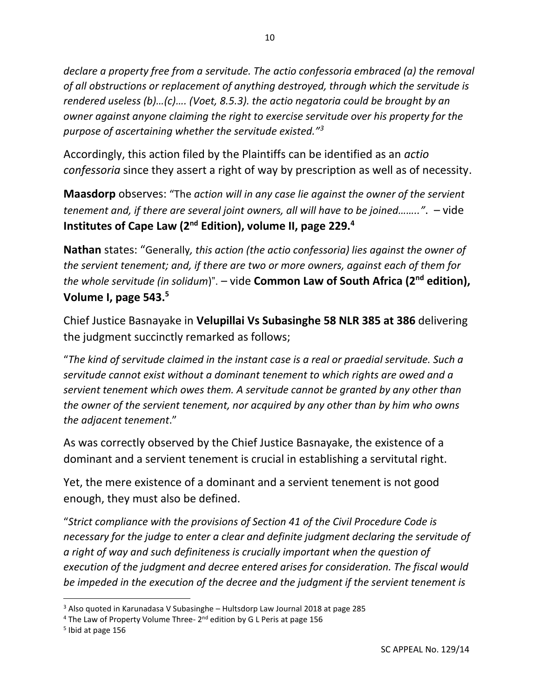*declare a property free from a servitude. The actio confessoria embraced (a) the removal of all obstructions or replacement of anything destroyed, through which the servitude is rendered useless (b)…(c)…. (Voet, 8.5.3). the actio negatoria could be brought by an owner against anyone claiming the right to exercise servitude over his property for the purpose of ascertaining whether the servitude existed."<sup>3</sup>*

Accordingly, this action filed by the Plaintiffs can be identified as an *actio confessoria* since they assert a right of way by prescription as well as of necessity.

**Maasdorp** observes: "The *action will in any case lie against the owner of the servient tenement and, if there are several joint owners, all will have to be joined…….."*. – vide **Institutes of Cape Law (2nd Edition), volume II, page 229.<sup>4</sup>**

**Nathan** states: "Generally*, this action (the actio confessoria) lies against the owner of the servient tenement; and, if there are two or more owners, against each of them for the whole servitude (in solidum*)". – vide **Common Law of South Africa (2nd edition), Volume I, page 543. 5**

Chief Justice Basnayake in **Velupillai Vs Subasinghe 58 NLR 385 at 386** delivering the judgment succinctly remarked as follows;

"*The kind of servitude claimed in the instant case is a real or praedial servitude. Such a servitude cannot exist without a dominant tenement to which rights are owed and a servient tenement which owes them. A servitude cannot be granted by any other than the owner of the servient tenement, nor acquired by any other than by him who owns the adjacent tenement*."

As was correctly observed by the Chief Justice Basnayake, the existence of a dominant and a servient tenement is crucial in establishing a servitutal right.

Yet, the mere existence of a dominant and a servient tenement is not good enough, they must also be defined.

"*Strict compliance with the provisions of Section 41 of the Civil Procedure Code is necessary for the judge to enter a clear and definite judgment declaring the servitude of a right of way and such definiteness is crucially important when the question of execution of the judgment and decree entered arises for consideration. The fiscal would be impeded in the execution of the decree and the judgment if the servient tenement is* 

<sup>&</sup>lt;sup>3</sup> Also quoted in Karunadasa V Subasinghe - Hultsdorp Law Journal 2018 at page 285

<sup>&</sup>lt;sup>4</sup> The Law of Property Volume Three- 2<sup>nd</sup> edition by G L Peris at page 156

<sup>5</sup> Ibid at page 156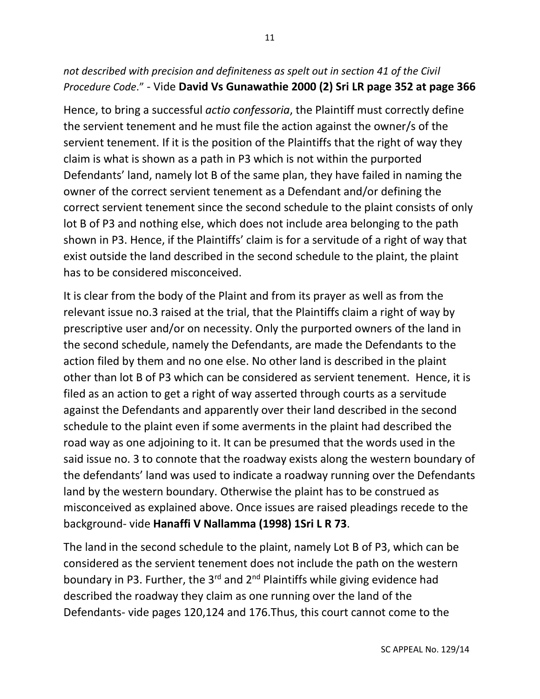# *not described with precision and definiteness as spelt out in section 41 of the Civil Procedure Code*." - Vide **David Vs Gunawathie 2000 (2) Sri LR page 352 at page 366**

Hence, to bring a successful *actio confessoria*, the Plaintiff must correctly define the servient tenement and he must file the action against the owner/s of the servient tenement. If it is the position of the Plaintiffs that the right of way they claim is what is shown as a path in P3 which is not within the purported Defendants' land, namely lot B of the same plan, they have failed in naming the owner of the correct servient tenement as a Defendant and/or defining the correct servient tenement since the second schedule to the plaint consists of only lot B of P3 and nothing else, which does not include area belonging to the path shown in P3. Hence, if the Plaintiffs' claim is for a servitude of a right of way that exist outside the land described in the second schedule to the plaint, the plaint has to be considered misconceived.

It is clear from the body of the Plaint and from its prayer as well as from the relevant issue no.3 raised at the trial, that the Plaintiffs claim a right of way by prescriptive user and/or on necessity. Only the purported owners of the land in the second schedule, namely the Defendants, are made the Defendants to the action filed by them and no one else. No other land is described in the plaint other than lot B of P3 which can be considered as servient tenement. Hence, it is filed as an action to get a right of way asserted through courts as a servitude against the Defendants and apparently over their land described in the second schedule to the plaint even if some averments in the plaint had described the road way as one adjoining to it. It can be presumed that the words used in the said issue no. 3 to connote that the roadway exists along the western boundary of the defendants' land was used to indicate a roadway running over the Defendants land by the western boundary. Otherwise the plaint has to be construed as misconceived as explained above. Once issues are raised pleadings recede to the background- vide **Hanaffi V Nallamma (1998) 1Sri L R 73**.

The land in the second schedule to the plaint, namely Lot B of P3, which can be considered as the servient tenement does not include the path on the western boundary in P3. Further, the 3<sup>rd</sup> and 2<sup>nd</sup> Plaintiffs while giving evidence had described the roadway they claim as one running over the land of the Defendants- vide pages 120,124 and 176.Thus, this court cannot come to the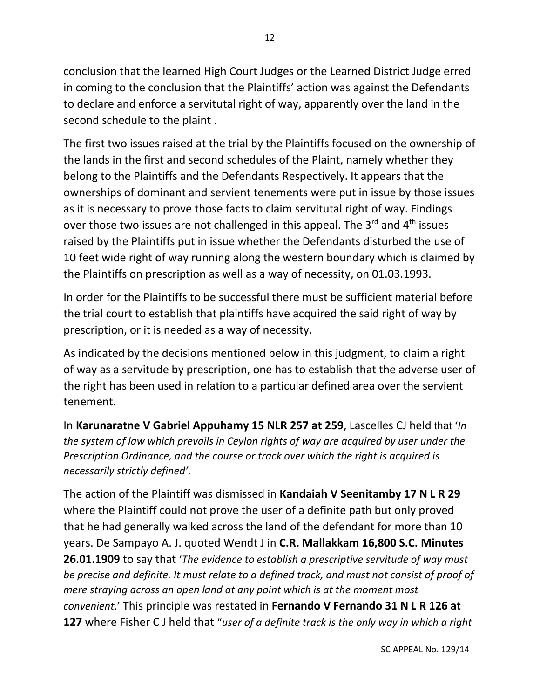conclusion that the learned High Court Judges or the Learned District Judge erred in coming to the conclusion that the Plaintiffs' action was against the Defendants to declare and enforce a servitutal right of way, apparently over the land in the second schedule to the plaint .

The first two issues raised at the trial by the Plaintiffs focused on the ownership of the lands in the first and second schedules of the Plaint, namely whether they belong to the Plaintiffs and the Defendants Respectively. It appears that the ownerships of dominant and servient tenements were put in issue by those issues as it is necessary to prove those facts to claim servitutal right of way. Findings over those two issues are not challenged in this appeal. The  $3<sup>rd</sup>$  and  $4<sup>th</sup>$  issues raised by the Plaintiffs put in issue whether the Defendants disturbed the use of 10 feet wide right of way running along the western boundary which is claimed by the Plaintiffs on prescription as well as a way of necessity, on 01.03.1993.

In order for the Plaintiffs to be successful there must be sufficient material before the trial court to establish that plaintiffs have acquired the said right of way by prescription, or it is needed as a way of necessity.

As indicated by the decisions mentioned below in this judgment, to claim a right of way as a servitude by prescription, one has to establish that the adverse user of the right has been used in relation to a particular defined area over the servient tenement.

In **Karunaratne V Gabriel Appuhamy 15 NLR 257 at 259**, Lascelles CJ held that '*In the system of law which prevails in Ceylon rights of way are acquired by user under the Prescription Ordinance, and the course or track over which the right is acquired is necessarily strictly defined'.* 

The action of the Plaintiff was dismissed in **Kandaiah V Seenitamby 17 N L R 29** where the Plaintiff could not prove the user of a definite path but only proved that he had generally walked across the land of the defendant for more than 10 years. De Sampayo A. J. quoted Wendt J in **C.R. Mallakkam 16,800 S.C. Minutes 26.01.1909** to say that '*The evidence to establish a prescriptive servitude of way must be precise and definite. It must relate to a defined track, and must not consist of proof of mere straying across an open land at any point which is at the moment most convenient*.' This principle was restated in **Fernando V Fernando 31 N L R 126 at 127** where Fisher C J held that "*user of a definite track is the only way in which a right*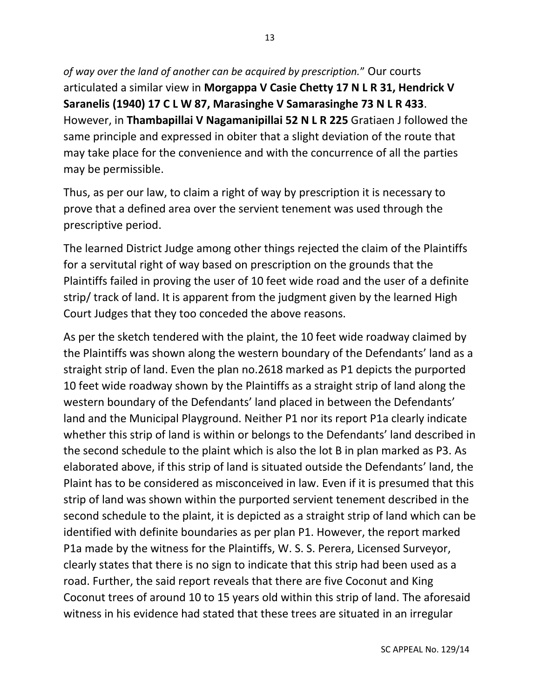*of way over the land of another can be acquired by prescription.*" Our courts articulated a similar view in **Morgappa V Casie Chetty 17 N L R 31, Hendrick V Saranelis (1940) 17 C L W 87, Marasinghe V Samarasinghe 73 N L R 433**. However, in **Thambapillai V Nagamanipillai 52 N L R 225** Gratiaen J followed the same principle and expressed in obiter that a slight deviation of the route that may take place for the convenience and with the concurrence of all the parties may be permissible.

Thus, as per our law, to claim a right of way by prescription it is necessary to prove that a defined area over the servient tenement was used through the prescriptive period.

The learned District Judge among other things rejected the claim of the Plaintiffs for a servitutal right of way based on prescription on the grounds that the Plaintiffs failed in proving the user of 10 feet wide road and the user of a definite strip/ track of land. It is apparent from the judgment given by the learned High Court Judges that they too conceded the above reasons.

As per the sketch tendered with the plaint, the 10 feet wide roadway claimed by the Plaintiffs was shown along the western boundary of the Defendants' land as a straight strip of land. Even the plan no.2618 marked as P1 depicts the purported 10 feet wide roadway shown by the Plaintiffs as a straight strip of land along the western boundary of the Defendants' land placed in between the Defendants' land and the Municipal Playground. Neither P1 nor its report P1a clearly indicate whether this strip of land is within or belongs to the Defendants' land described in the second schedule to the plaint which is also the lot B in plan marked as P3. As elaborated above, if this strip of land is situated outside the Defendants' land, the Plaint has to be considered as misconceived in law. Even if it is presumed that this strip of land was shown within the purported servient tenement described in the second schedule to the plaint, it is depicted as a straight strip of land which can be identified with definite boundaries as per plan P1. However, the report marked P1a made by the witness for the Plaintiffs, W. S. S. Perera, Licensed Surveyor, clearly states that there is no sign to indicate that this strip had been used as a road. Further, the said report reveals that there are five Coconut and King Coconut trees of around 10 to 15 years old within this strip of land. The aforesaid witness in his evidence had stated that these trees are situated in an irregular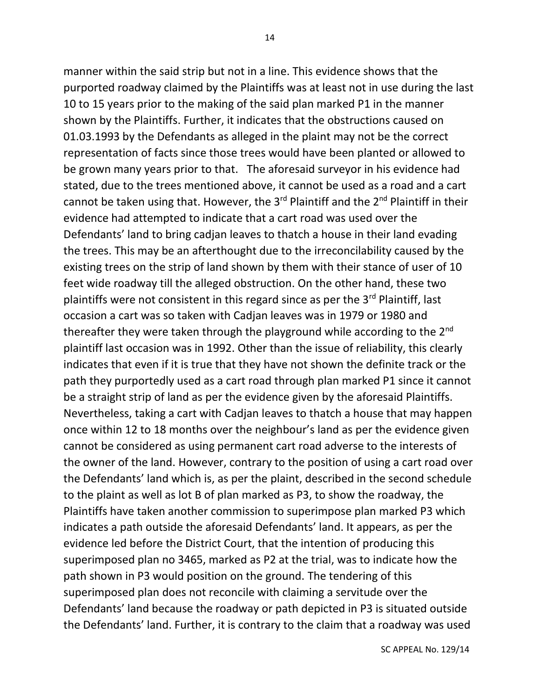manner within the said strip but not in a line. This evidence shows that the purported roadway claimed by the Plaintiffs was at least not in use during the last 10 to 15 years prior to the making of the said plan marked P1 in the manner shown by the Plaintiffs. Further, it indicates that the obstructions caused on 01.03.1993 by the Defendants as alleged in the plaint may not be the correct representation of facts since those trees would have been planted or allowed to be grown many years prior to that. The aforesaid surveyor in his evidence had stated, due to the trees mentioned above, it cannot be used as a road and a cart cannot be taken using that. However, the 3<sup>rd</sup> Plaintiff and the 2<sup>nd</sup> Plaintiff in their evidence had attempted to indicate that a cart road was used over the Defendants' land to bring cadjan leaves to thatch a house in their land evading the trees. This may be an afterthought due to the irreconcilability caused by the existing trees on the strip of land shown by them with their stance of user of 10 feet wide roadway till the alleged obstruction. On the other hand, these two plaintiffs were not consistent in this regard since as per the  $3<sup>rd</sup>$  Plaintiff, last occasion a cart was so taken with Cadjan leaves was in 1979 or 1980 and thereafter they were taken through the playground while according to the  $2^{nd}$ plaintiff last occasion was in 1992. Other than the issue of reliability, this clearly indicates that even if it is true that they have not shown the definite track or the path they purportedly used as a cart road through plan marked P1 since it cannot be a straight strip of land as per the evidence given by the aforesaid Plaintiffs. Nevertheless, taking a cart with Cadjan leaves to thatch a house that may happen once within 12 to 18 months over the neighbour's land as per the evidence given cannot be considered as using permanent cart road adverse to the interests of the owner of the land. However, contrary to the position of using a cart road over the Defendants' land which is, as per the plaint, described in the second schedule to the plaint as well as lot B of plan marked as P3, to show the roadway, the Plaintiffs have taken another commission to superimpose plan marked P3 which indicates a path outside the aforesaid Defendants' land. It appears, as per the evidence led before the District Court, that the intention of producing this superimposed plan no 3465, marked as P2 at the trial, was to indicate how the path shown in P3 would position on the ground. The tendering of this superimposed plan does not reconcile with claiming a servitude over the Defendants' land because the roadway or path depicted in P3 is situated outside the Defendants' land. Further, it is contrary to the claim that a roadway was used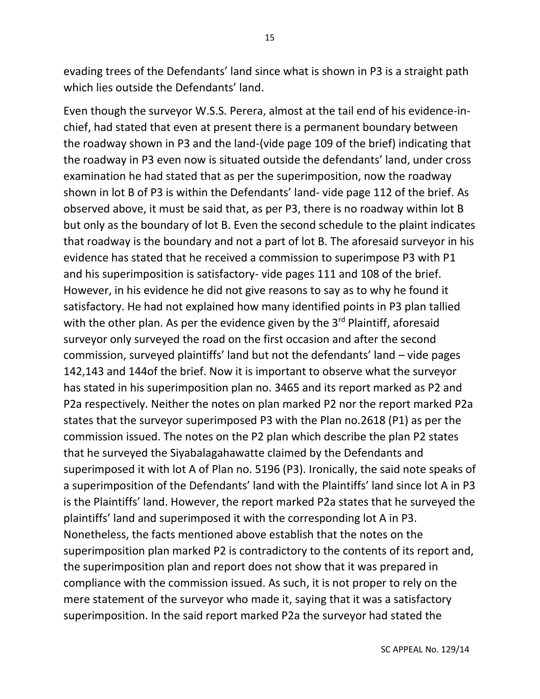evading trees of the Defendants' land since what is shown in P3 is a straight path which lies outside the Defendants' land.

Even though the surveyor W.S.S. Perera, almost at the tail end of his evidence-inchief, had stated that even at present there is a permanent boundary between the roadway shown in P3 and the land-(vide page 109 of the brief) indicating that the roadway in P3 even now is situated outside the defendants' land, under cross examination he had stated that as per the superimposition, now the roadway shown in lot B of P3 is within the Defendants' land- vide page 112 of the brief. As observed above, it must be said that, as per P3, there is no roadway within lot B but only as the boundary of lot B. Even the second schedule to the plaint indicates that roadway is the boundary and not a part of lot B. The aforesaid surveyor in his evidence has stated that he received a commission to superimpose P3 with P1 and his superimposition is satisfactory- vide pages 111 and 108 of the brief. However, in his evidence he did not give reasons to say as to why he found it satisfactory. He had not explained how many identified points in P3 plan tallied with the other plan. As per the evidence given by the 3<sup>rd</sup> Plaintiff, aforesaid surveyor only surveyed the road on the first occasion and after the second commission, surveyed plaintiffs' land but not the defendants' land – vide pages 142,143 and 144of the brief. Now it is important to observe what the surveyor has stated in his superimposition plan no. 3465 and its report marked as P2 and P2a respectively. Neither the notes on plan marked P2 nor the report marked P2a states that the surveyor superimposed P3 with the Plan no.2618 (P1) as per the commission issued. The notes on the P2 plan which describe the plan P2 states that he surveyed the Siyabalagahawatte claimed by the Defendants and superimposed it with lot A of Plan no. 5196 (P3). Ironically, the said note speaks of a superimposition of the Defendants' land with the Plaintiffs' land since lot A in P3 is the Plaintiffs' land. However, the report marked P2a states that he surveyed the plaintiffs' land and superimposed it with the corresponding lot A in P3. Nonetheless, the facts mentioned above establish that the notes on the superimposition plan marked P2 is contradictory to the contents of its report and, the superimposition plan and report does not show that it was prepared in compliance with the commission issued. As such, it is not proper to rely on the mere statement of the surveyor who made it, saying that it was a satisfactory superimposition. In the said report marked P2a the surveyor had stated the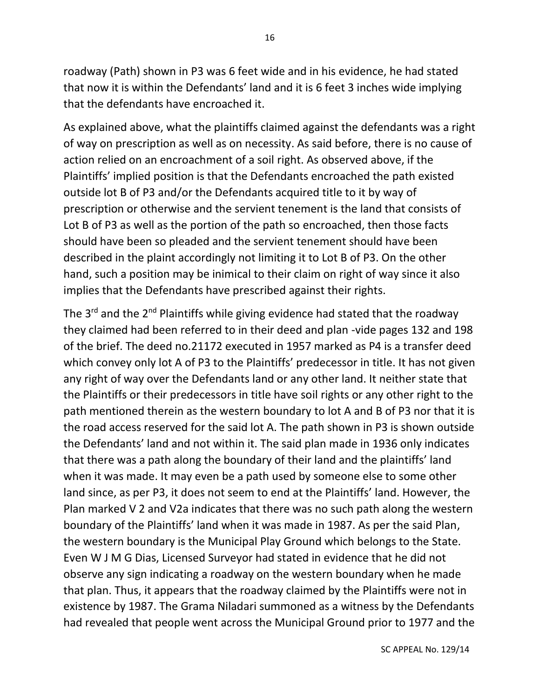roadway (Path) shown in P3 was 6 feet wide and in his evidence, he had stated that now it is within the Defendants' land and it is 6 feet 3 inches wide implying that the defendants have encroached it.

As explained above, what the plaintiffs claimed against the defendants was a right of way on prescription as well as on necessity. As said before, there is no cause of action relied on an encroachment of a soil right. As observed above, if the Plaintiffs' implied position is that the Defendants encroached the path existed outside lot B of P3 and/or the Defendants acquired title to it by way of prescription or otherwise and the servient tenement is the land that consists of Lot B of P3 as well as the portion of the path so encroached, then those facts should have been so pleaded and the servient tenement should have been described in the plaint accordingly not limiting it to Lot B of P3. On the other hand, such a position may be inimical to their claim on right of way since it also implies that the Defendants have prescribed against their rights.

The 3<sup>rd</sup> and the 2<sup>nd</sup> Plaintiffs while giving evidence had stated that the roadway they claimed had been referred to in their deed and plan -vide pages 132 and 198 of the brief. The deed no.21172 executed in 1957 marked as P4 is a transfer deed which convey only lot A of P3 to the Plaintiffs' predecessor in title. It has not given any right of way over the Defendants land or any other land. It neither state that the Plaintiffs or their predecessors in title have soil rights or any other right to the path mentioned therein as the western boundary to lot A and B of P3 nor that it is the road access reserved for the said lot A. The path shown in P3 is shown outside the Defendants' land and not within it. The said plan made in 1936 only indicates that there was a path along the boundary of their land and the plaintiffs' land when it was made. It may even be a path used by someone else to some other land since, as per P3, it does not seem to end at the Plaintiffs' land. However, the Plan marked V 2 and V2a indicates that there was no such path along the western boundary of the Plaintiffs' land when it was made in 1987. As per the said Plan, the western boundary is the Municipal Play Ground which belongs to the State. Even W J M G Dias, Licensed Surveyor had stated in evidence that he did not observe any sign indicating a roadway on the western boundary when he made that plan. Thus, it appears that the roadway claimed by the Plaintiffs were not in existence by 1987. The Grama Niladari summoned as a witness by the Defendants had revealed that people went across the Municipal Ground prior to 1977 and the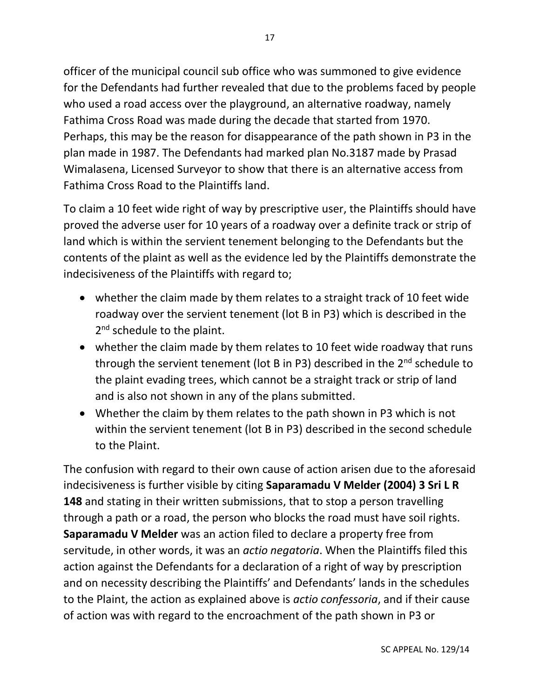officer of the municipal council sub office who was summoned to give evidence for the Defendants had further revealed that due to the problems faced by people who used a road access over the playground, an alternative roadway, namely Fathima Cross Road was made during the decade that started from 1970. Perhaps, this may be the reason for disappearance of the path shown in P3 in the plan made in 1987. The Defendants had marked plan No.3187 made by Prasad Wimalasena, Licensed Surveyor to show that there is an alternative access from Fathima Cross Road to the Plaintiffs land.

To claim a 10 feet wide right of way by prescriptive user, the Plaintiffs should have proved the adverse user for 10 years of a roadway over a definite track or strip of land which is within the servient tenement belonging to the Defendants but the contents of the plaint as well as the evidence led by the Plaintiffs demonstrate the indecisiveness of the Plaintiffs with regard to;

- whether the claim made by them relates to a straight track of 10 feet wide roadway over the servient tenement (lot B in P3) which is described in the 2<sup>nd</sup> schedule to the plaint.
- whether the claim made by them relates to 10 feet wide roadway that runs through the servient tenement (lot B in P3) described in the  $2<sup>nd</sup>$  schedule to the plaint evading trees, which cannot be a straight track or strip of land and is also not shown in any of the plans submitted.
- Whether the claim by them relates to the path shown in P3 which is not within the servient tenement (lot B in P3) described in the second schedule to the Plaint.

The confusion with regard to their own cause of action arisen due to the aforesaid indecisiveness is further visible by citing **Saparamadu V Melder (2004) 3 Sri L R 148** and stating in their written submissions, that to stop a person travelling through a path or a road, the person who blocks the road must have soil rights. **Saparamadu V Melder** was an action filed to declare a property free from servitude, in other words, it was an *actio negatoria*. When the Plaintiffs filed this action against the Defendants for a declaration of a right of way by prescription and on necessity describing the Plaintiffs' and Defendants' lands in the schedules to the Plaint, the action as explained above is *actio confessoria*, and if their cause of action was with regard to the encroachment of the path shown in P3 or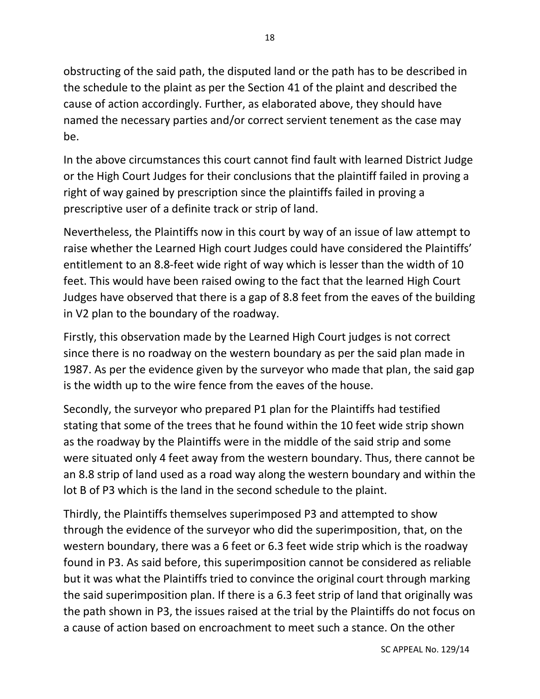obstructing of the said path, the disputed land or the path has to be described in the schedule to the plaint as per the Section 41 of the plaint and described the cause of action accordingly. Further, as elaborated above, they should have named the necessary parties and/or correct servient tenement as the case may be.

In the above circumstances this court cannot find fault with learned District Judge or the High Court Judges for their conclusions that the plaintiff failed in proving a right of way gained by prescription since the plaintiffs failed in proving a prescriptive user of a definite track or strip of land.

Nevertheless, the Plaintiffs now in this court by way of an issue of law attempt to raise whether the Learned High court Judges could have considered the Plaintiffs' entitlement to an 8.8-feet wide right of way which is lesser than the width of 10 feet. This would have been raised owing to the fact that the learned High Court Judges have observed that there is a gap of 8.8 feet from the eaves of the building in V2 plan to the boundary of the roadway.

Firstly, this observation made by the Learned High Court judges is not correct since there is no roadway on the western boundary as per the said plan made in 1987. As per the evidence given by the surveyor who made that plan, the said gap is the width up to the wire fence from the eaves of the house.

Secondly, the surveyor who prepared P1 plan for the Plaintiffs had testified stating that some of the trees that he found within the 10 feet wide strip shown as the roadway by the Plaintiffs were in the middle of the said strip and some were situated only 4 feet away from the western boundary. Thus, there cannot be an 8.8 strip of land used as a road way along the western boundary and within the lot B of P3 which is the land in the second schedule to the plaint.

Thirdly, the Plaintiffs themselves superimposed P3 and attempted to show through the evidence of the surveyor who did the superimposition, that, on the western boundary, there was a 6 feet or 6.3 feet wide strip which is the roadway found in P3. As said before, this superimposition cannot be considered as reliable but it was what the Plaintiffs tried to convince the original court through marking the said superimposition plan. If there is a 6.3 feet strip of land that originally was the path shown in P3, the issues raised at the trial by the Plaintiffs do not focus on a cause of action based on encroachment to meet such a stance. On the other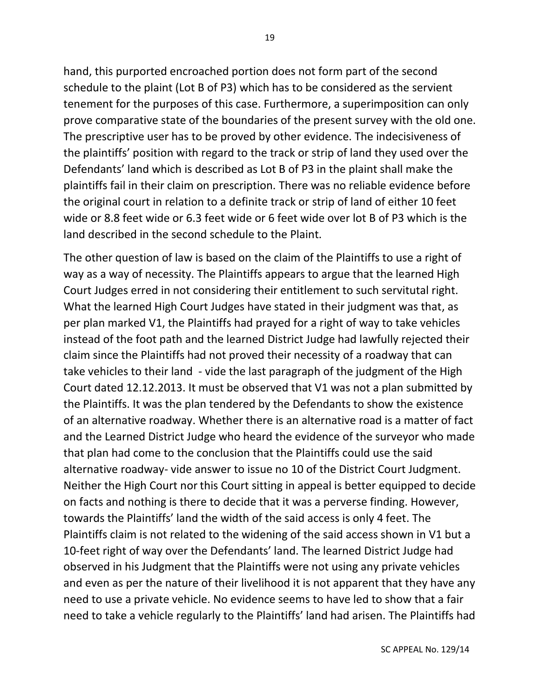hand, this purported encroached portion does not form part of the second schedule to the plaint (Lot B of P3) which has to be considered as the servient tenement for the purposes of this case. Furthermore, a superimposition can only prove comparative state of the boundaries of the present survey with the old one. The prescriptive user has to be proved by other evidence. The indecisiveness of the plaintiffs' position with regard to the track or strip of land they used over the Defendants' land which is described as Lot B of P3 in the plaint shall make the plaintiffs fail in their claim on prescription. There was no reliable evidence before the original court in relation to a definite track or strip of land of either 10 feet wide or 8.8 feet wide or 6.3 feet wide or 6 feet wide over lot B of P3 which is the land described in the second schedule to the Plaint.

The other question of law is based on the claim of the Plaintiffs to use a right of way as a way of necessity. The Plaintiffs appears to argue that the learned High Court Judges erred in not considering their entitlement to such servitutal right. What the learned High Court Judges have stated in their judgment was that, as per plan marked V1, the Plaintiffs had prayed for a right of way to take vehicles instead of the foot path and the learned District Judge had lawfully rejected their claim since the Plaintiffs had not proved their necessity of a roadway that can take vehicles to their land - vide the last paragraph of the judgment of the High Court dated 12.12.2013. It must be observed that V1 was not a plan submitted by the Plaintiffs. It was the plan tendered by the Defendants to show the existence of an alternative roadway. Whether there is an alternative road is a matter of fact and the Learned District Judge who heard the evidence of the surveyor who made that plan had come to the conclusion that the Plaintiffs could use the said alternative roadway- vide answer to issue no 10 of the District Court Judgment. Neither the High Court nor this Court sitting in appeal is better equipped to decide on facts and nothing is there to decide that it was a perverse finding. However, towards the Plaintiffs' land the width of the said access is only 4 feet. The Plaintiffs claim is not related to the widening of the said access shown in V1 but a 10-feet right of way over the Defendants' land. The learned District Judge had observed in his Judgment that the Plaintiffs were not using any private vehicles and even as per the nature of their livelihood it is not apparent that they have any need to use a private vehicle. No evidence seems to have led to show that a fair need to take a vehicle regularly to the Plaintiffs' land had arisen. The Plaintiffs had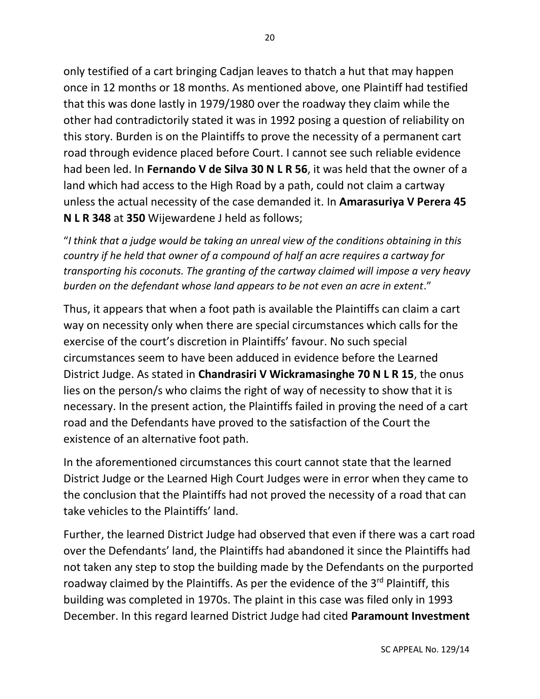only testified of a cart bringing Cadjan leaves to thatch a hut that may happen once in 12 months or 18 months. As mentioned above, one Plaintiff had testified that this was done lastly in 1979/1980 over the roadway they claim while the other had contradictorily stated it was in 1992 posing a question of reliability on this story. Burden is on the Plaintiffs to prove the necessity of a permanent cart road through evidence placed before Court. I cannot see such reliable evidence had been led. In **Fernando V de Silva 30 N L R 56**, it was held that the owner of a land which had access to the High Road by a path, could not claim a cartway unless the actual necessity of the case demanded it. In **Amarasuriya V Perera 45 N L R 348** at **350** Wijewardene J held as follows;

"*I think that a judge would be taking an unreal view of the conditions obtaining in this country if he held that owner of a compound of half an acre requires a cartway for transporting his coconuts. The granting of the cartway claimed will impose a very heavy burden on the defendant whose land appears to be not even an acre in extent*."

Thus, it appears that when a foot path is available the Plaintiffs can claim a cart way on necessity only when there are special circumstances which calls for the exercise of the court's discretion in Plaintiffs' favour. No such special circumstances seem to have been adduced in evidence before the Learned District Judge. As stated in **Chandrasiri V Wickramasinghe 70 N L R 15**, the onus lies on the person/s who claims the right of way of necessity to show that it is necessary. In the present action, the Plaintiffs failed in proving the need of a cart road and the Defendants have proved to the satisfaction of the Court the existence of an alternative foot path.

In the aforementioned circumstances this court cannot state that the learned District Judge or the Learned High Court Judges were in error when they came to the conclusion that the Plaintiffs had not proved the necessity of a road that can take vehicles to the Plaintiffs' land.

Further, the learned District Judge had observed that even if there was a cart road over the Defendants' land, the Plaintiffs had abandoned it since the Plaintiffs had not taken any step to stop the building made by the Defendants on the purported roadway claimed by the Plaintiffs. As per the evidence of the 3<sup>rd</sup> Plaintiff, this building was completed in 1970s. The plaint in this case was filed only in 1993 December. In this regard learned District Judge had cited **Paramount Investment**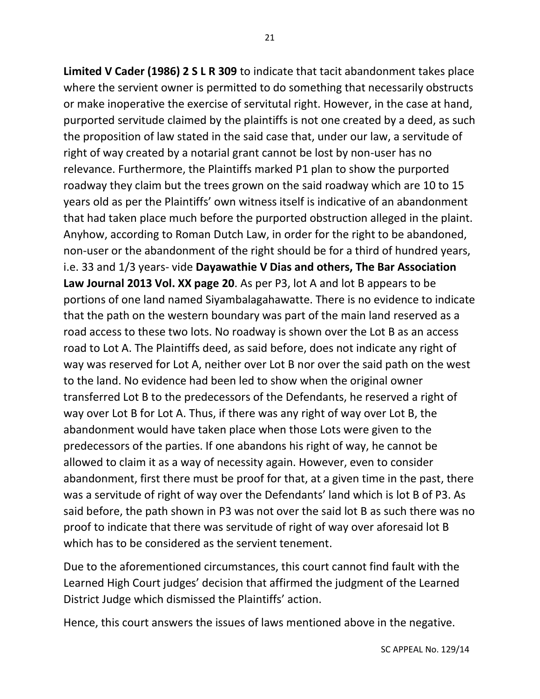21

**Limited V Cader (1986) 2 S L R 309** to indicate that tacit abandonment takes place where the servient owner is permitted to do something that necessarily obstructs or make inoperative the exercise of servitutal right. However, in the case at hand, purported servitude claimed by the plaintiffs is not one created by a deed, as such the proposition of law stated in the said case that, under our law, a servitude of right of way created by a notarial grant cannot be lost by non-user has no relevance. Furthermore, the Plaintiffs marked P1 plan to show the purported roadway they claim but the trees grown on the said roadway which are 10 to 15 years old as per the Plaintiffs' own witness itself is indicative of an abandonment that had taken place much before the purported obstruction alleged in the plaint. Anyhow, according to Roman Dutch Law, in order for the right to be abandoned, non-user or the abandonment of the right should be for a third of hundred years, i.e. 33 and 1/3 years- vide **Dayawathie V Dias and others, The Bar Association Law Journal 2013 Vol. XX page 20**. As per P3, lot A and lot B appears to be portions of one land named Siyambalagahawatte. There is no evidence to indicate that the path on the western boundary was part of the main land reserved as a road access to these two lots. No roadway is shown over the Lot B as an access road to Lot A. The Plaintiffs deed, as said before, does not indicate any right of way was reserved for Lot A, neither over Lot B nor over the said path on the west to the land. No evidence had been led to show when the original owner transferred Lot B to the predecessors of the Defendants, he reserved a right of way over Lot B for Lot A. Thus, if there was any right of way over Lot B, the abandonment would have taken place when those Lots were given to the predecessors of the parties. If one abandons his right of way, he cannot be allowed to claim it as a way of necessity again. However, even to consider abandonment, first there must be proof for that, at a given time in the past, there was a servitude of right of way over the Defendants' land which is lot B of P3. As said before, the path shown in P3 was not over the said lot B as such there was no proof to indicate that there was servitude of right of way over aforesaid lot B which has to be considered as the servient tenement.

Due to the aforementioned circumstances, this court cannot find fault with the Learned High Court judges' decision that affirmed the judgment of the Learned District Judge which dismissed the Plaintiffs' action.

Hence, this court answers the issues of laws mentioned above in the negative.